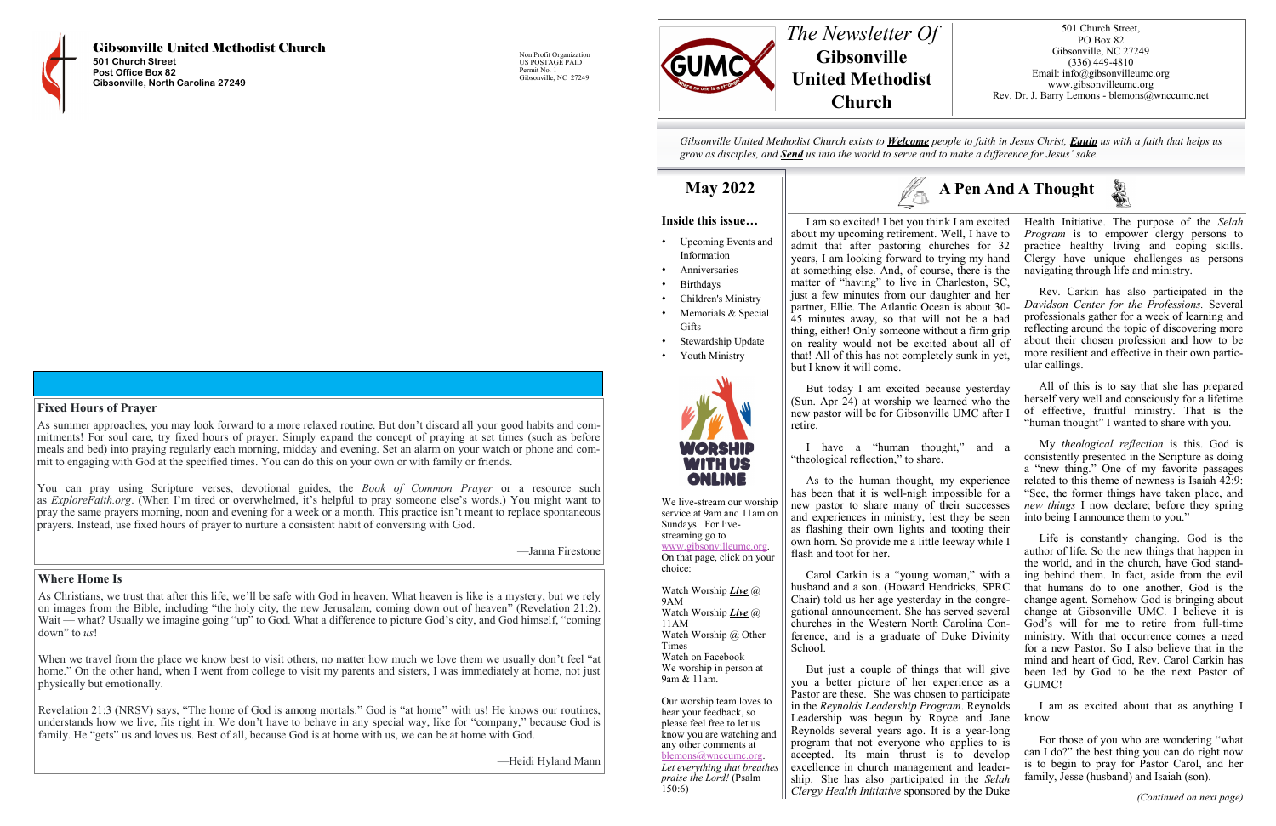

Gibsonville United Methodist Church **501 Church Street Post Office Box 82 Gibsonville, North Carolina 27249**

Non Profit Organization US POSTAGE PAID Permit No. 1 Gibsonville, NC 27249

#### **Where Home Is**

As Christians, we trust that after this life, we'll be safe with God in heaven. What heaven is like is a mystery, but we rely on images from the Bible, including "the holy city, the new Jerusalem, coming down out of heaven" (Revelation 21:2). Wait — what? Usually we imagine going "up" to God. What a difference to picture God's city, and God himself, "coming down" to *us*!

As summer approaches, you may look forward to a more relaxed routine. But don't discard all your good habits and commitments! For soul care, try fixed hours of prayer. Simply expand the concept of praying at set times (such as before meals and bed) into praying regularly each morning, midday and evening. Set an alarm on your watch or phone and commit to engaging with God at the specified times. You can do this on your own or with family or friends.

When we travel from the place we know best to visit others, no matter how much we love them we usually don't feel "at home." On the other hand, when I went from college to visit my parents and sisters, I was immediately at home, not just physically but emotionally.

Revelation 21:3 (NRSV) says, "The home of God is among mortals." God is "at home" with us! He knows our routines, understands how we live, fits right in. We don't have to behave in any special way, like for "company," because God is family. He "gets" us and loves us. Best of all, because God is at home with us, we can be at home with God.

—Heidi Hyland Mann

- ⬧ Upcoming Events and Information
- ⬧ Anniversaries
- **Birthdays**
- ⬧ Children's Ministry
- Memorials & Special **Gifts**
- Stewardship Update
- Youth Ministry



#### **Fixed Hours of Prayer**

You can pray using Scripture verses, devotional guides, the *Book of Common Prayer* or a resource such as *ExploreFaith.org*. (When I'm tired or overwhelmed, it's helpful to pray someone else's words.) You might want to pray the same prayers morning, noon and evening for a week or a month. This practice isn't meant to replace spontaneous prayers. Instead, use fixed hours of prayer to nurture a consistent habit of conversing with God.

—Janna Firestone

### **A Pen And A Thought**



*Gibsonville United Methodist Church exists to Welcome people to faith in Jesus Christ, Equip us with a faith that helps us grow as disciples, and Send us into the world to serve and to make a difference for Jesus' sake.*

#### **May 2022**



We live-stream our worship service at 9am and 11am on Sundays. For livestreaming go to [www.gibsonvilleumc.org.](http://www.gibsonvilleumc.org)  On that page, click on your choice:

Watch Worship *Live* @ 9AM Watch Worship *Live* @ 11AM Watch Worship @ Other Times Watch on Facebook We worship in person at 9am & 11am.

Our worship team loves to hear your feedback, so please feel free to let us know you are watching and any other comments at [blemons@wnccumc.org.](mailto:blemons@wnccumc.org) *Let everything that breathes praise the Lord!* (Psalm 150:6)





501 Church Street, PO Box 82 Gibsonville, NC 27249 (336) 449-4810 Email: info@gibsonvilleumc.org www.gibsonvilleumc.org Rev. Dr. J. Barry Lemons - blemons@wnccumc.net

But today I am excited because yesterday (Sun. Apr 24) at worship we learned who the new pastor will be for Gibsonville UMC after I retire.

I have a "human thought," and a "theological reflection," to share.

As to the human thought, my experience has been that it is well-nigh impossible for a new pastor to share many of their successes and experiences in ministry, lest they be seen as flashing their own lights and tooting their own horn. So provide me a little leeway while I flash and toot for her.

I am so excited! I bet you think I am excited Health Initiative. The purpose of the *Selah*  about my upcoming retirement. Well, I have to admit that after pastoring churches for 32 years, I am looking forward to trying my hand at something else. And, of course, there is the matter of "having" to live in Charleston, SC, just a few minutes from our daughter and her partner, Ellie. The Atlantic Ocean is about 30- 45 minutes away, so that will not be a bad thing, either! Only someone without a firm grip on reality would not be excited about all of that! All of this has not completely sunk in yet, but I know it will come. *Program* is to empower clergy persons to practice healthy living and coping skills. Clergy have unique challenges as persons navigating through life and ministry. Rev. Carkin has also participated in the *Davidson Center for the Professions.* Several professionals gather for a week of learning and reflecting around the topic of discovering more about their chosen profession and how to be more resilient and effective in their own particular callings.

Carol Carkin is a "young woman," with a husband and a son. (Howard Hendricks, SPRC Chair) told us her age yesterday in the congregational announcement. She has served several churches in the Western North Carolina Conference, and is a graduate of Duke Divinity School.

But just a couple of things that will give you a better picture of her experience as a Pastor are these. She was chosen to participate in the *Reynolds Leadership Program*. Reynolds Leadership was begun by Royce and Jane Reynolds several years ago. It is a year-long program that not everyone who applies to is accepted. Its main thrust is to develop excellence in church management and leadership. She has also participated in the *Selah Clergy Health Initiative* sponsored by the Duke

All of this is to say that she has prepared herself very well and consciously for a lifetime of effective, fruitful ministry. That is the "human thought" I wanted to share with you.

My *theological reflection* is this. God is consistently presented in the Scripture as doing a "new thing." One of my favorite passages related to this theme of newness is Isaiah 42:9: "See, the former things have taken place, and *new things* I now declare; before they spring into being I announce them to you."

Life is constantly changing. God is the author of life. So the new things that happen in the world, and in the church, have God standing behind them. In fact, aside from the evil that humans do to one another, God is the change agent. Somehow God is bringing about change at Gibsonville UMC. I believe it is God's will for me to retire from full-time ministry. With that occurrence comes a need for a new Pastor. So I also believe that in the mind and heart of God, Rev. Carol Carkin has been led by God to be the next Pastor of GUMC!

I am as excited about that as anything I know.

For those of you who are wondering "what can I do?" the best thing you can do right now is to begin to pray for Pastor Carol, and her family, Jesse (husband) and Isaiah (son).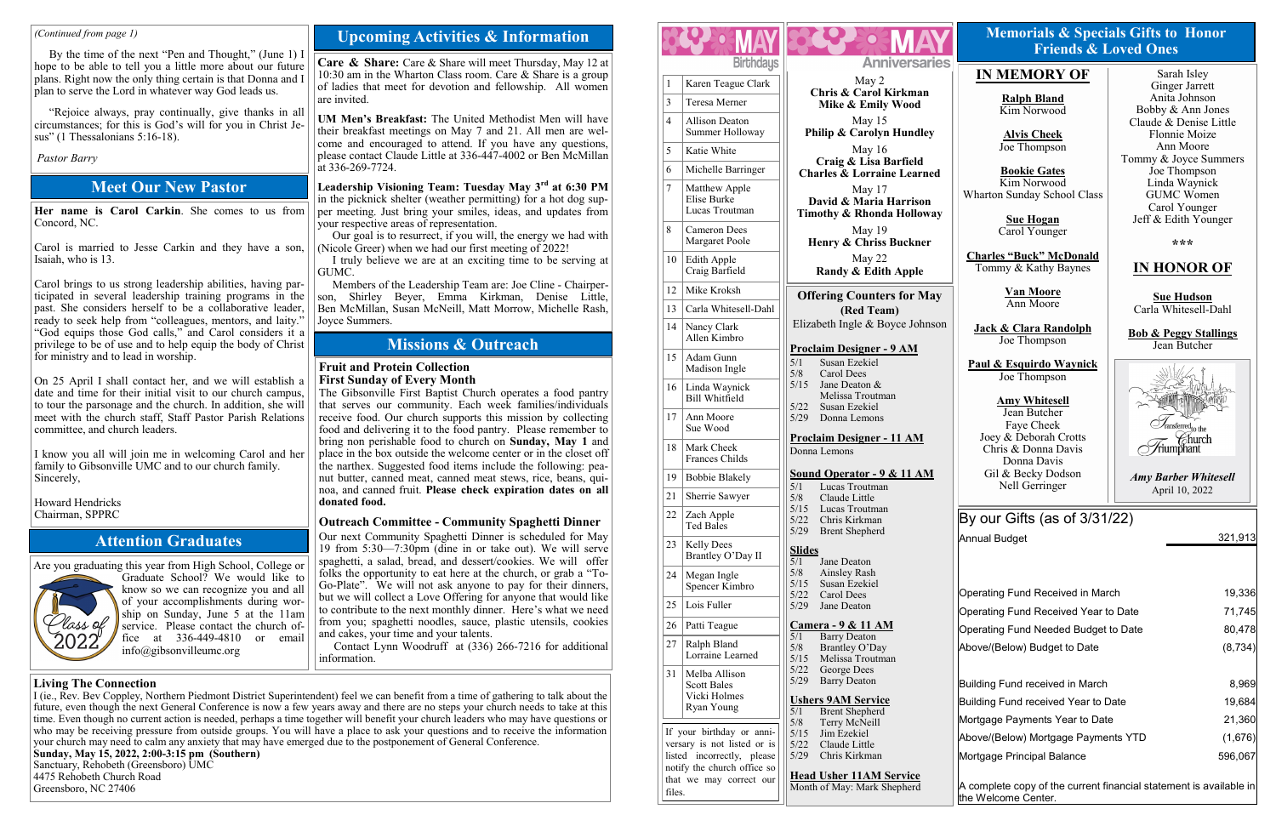#### **Fruit and Protein Collection First Sunday of Every Month**

The Gibsonville First Baptist Church operates a food pantry that serves our community. Each week families/individuals receive food. Our church supports this mission by collecting food and delivering it to the food pantry. Please remember to bring non perishable food to church on **Sunday, May 1** and place in the box outside the welcome center or in the closet off the narthex. Suggested food items include the following: peanut butter, canned meat, canned meat stews, rice, beans, quinoa, and canned fruit. **Please check expiration dates on all donated food.**

#### **Outreach Committee - Community Spaghetti Dinner**

Our next Community Spaghetti Dinner is scheduled for May 19 from 5:30—7:30pm (dine in or take out). We will serve spaghetti, a salad, bread, and dessert/cookies. We will offer folks the opportunity to eat here at the church, or grab a "To-Go-Plate". We will not ask anyone to pay for their dinners, but we will collect a Love Offering for anyone that would like to contribute to the next monthly dinner. Here's what we need from you; spaghetti noodles, sauce, plastic utensils, cookies and cakes, your time and your talents.

I truly believe we are at an exciting time to be serving at GUMC.

Contact Lynn Woodruff at (336) 266-7216 for additional information.

#### **Missions & Outreach**

#### **Upcoming Activities & Information**

**Care & Share:** Care & Share will meet Thursday, May 12 at 10:30 am in the Wharton Class room. Care & Share is a group of ladies that meet for devotion and fellowship. All women are invited.

**UM Men's Breakfast:** The United Methodist Men will have their breakfast meetings on May 7 and 21. All men are welcome and encouraged to attend. If you have any questions, please contact Claude Little at 336-447-4002 or Ben McMillan at 336-269-7724.

**Leadership Visioning Team: Tuesday May 3rd at 6:30 PM** in the picknick shelter (weather permitting) for a hot dog supper meeting. Just bring your smiles, ideas, and updates from your respective areas of representation.

Our goal is to resurrect, if you will, the energy we had with (Nicole Greer) when we had our first meeting of 2022!

Members of the Leadership Team are: Joe Cline - Chairperson, Shirley Beyer, Emma Kirkman, Denise Little, Ben McMillan, Susan McNeill, Matt Morrow, Michelle Rash, Joyce Summers.

Are you graduating this year from High School, College or



Graduate School? We would like to know so we can recognize you and all of your accomplishments during worship on Sunday, June 5 at the 11am service. Please contact the church office at 336-449-4810 or email info@gibsonvilleumc.org

#### **Attention Graduates**

#### **Meet Our New Pastor**

**Her name is Carol Carkin**. She comes to us from Concord, NC.

Carol is married to Jesse Carkin and they have a son, Isaiah, who is 13.

Carol brings to us strong leadership abilities, having participated in several leadership training programs in the past. She considers herself to be a collaborative leader, ready to seek help from "colleagues, mentors, and laity." "God equips those God calls," and Carol considers it a privilege to be of use and to help equip the body of Christ for ministry and to lead in worship.

On 25 April I shall contact her, and we will establish a date and time for their initial visit to our church campus, to tour the parsonage and the church. In addition, she will meet with the church staff, Staff Pastor Parish Relations committee, and church leaders.

I know you all will join me in welcoming Carol and her family to Gibsonville UMC and to our church family. Sincerely,

Howard Hendricks Chairman, SPPRC

#### *(Continued from page 1)*

By the time of the next "Pen and Thought," (June 1) I hope to be able to tell you a little more about our future plans. Right now the only thing certain is that Donna and I plan to serve the Lord in whatever way God leads us.

"Rejoice always, pray continually, give thanks in all circumstances; for this is God's will for you in Christ Jesus" (1 Thessalonians 5:16-18).

#### *Pastor Barry*

#### **Living The Connection**

I (ie., Rev. Bev Coppley, Northern Piedmont District Superintendent) feel we can benefit from a time of gathering to talk about the future, even though the next General Conference is now a few years away and there are no steps your church needs to take at this time. Even though no current action is needed, perhaps a time together will benefit your church leaders who may have questions or who may be receiving pressure from outside groups. You will have a place to ask your questions and to receive the information | your church may need to calm any anxiety that may have emerged due to the postponement of General Conference. **Sunday, May 15, 2022, 2:00-3:15 pm (Southern)**

Sanctuary, Rehobeth (Greensboro) UMC 4475 Rehobeth Church Road Greensboro, NC 27406

#### **IN MEMORY OF**

**Ralph Bland** Kim Norwood

**Alvis Cheek** Joe Thompson

**Bookie Gates** Kim Norwood Wharton Sunday School Class

> **Sue Hogan** Carol Younger

**Charles "Buck" McDonald** Tommy & Kathy Baynes

> **Van Moore** Ann Moore

**Jack & Clara Randolph** Joe Thompson

**Paul & Esquirdo Waynick** Joe Thompson

**Amy Whitesell** Jean Butcher Faye Cheek Joey & Deborah Crotts Chris & Donna Davis Donna Davis Gil & Becky Dodson Nell Gerringer



**\*\*\***

#### **IN HONOR OF**

**Sue Hudson** Carla Whitesell-Dahl

**Bob & Peggy Stallings** Jean Butcher



#### **Memorials & Specials Gifts to Honor Friends & Loved Ones**

*Amy Barber Whitesell* April 10, 2022

| 1               | Karen Teague Clark                                                                                                    | Chri                                   |
|-----------------|-----------------------------------------------------------------------------------------------------------------------|----------------------------------------|
| 3               | Teresa Merner                                                                                                         |                                        |
| 4               | <b>Allison Deaton</b><br>Summer Holloway                                                                              | <b>Philip</b>                          |
| 5               | Katie White                                                                                                           |                                        |
| 6               | Michelle Barringer                                                                                                    | <b>Charle</b>                          |
| 7               | Matthew Apple<br>Elise Burke<br>Lucas Troutman                                                                        | Davi<br><b>Timoth</b>                  |
| 8               | Cameron Dees<br>Margaret Poole                                                                                        | Henr                                   |
| 10              | Edith Apple<br>Craig Barfield                                                                                         |                                        |
| 12              | Mike Kroksh                                                                                                           | Offeri                                 |
| 13              | Carla Whitesell-Dahl                                                                                                  |                                        |
| 14              | Nancy Clark<br>Allen Kimbro                                                                                           | Elizabetl                              |
| 15              | Adam Gunn<br>Madison Ingle                                                                                            | Proclaim<br>5/1<br>5/8                 |
| 16              | Linda Waynick<br>Bill Whitfield                                                                                       | 5/15                                   |
| 17              | Ann Moore<br>Sue Wood                                                                                                 | 5/22<br>5/29                           |
| 18              | Mark Cheek<br>Frances Childs                                                                                          | Proclaim<br>Donna Lei                  |
| 19              | <b>Bobbie Blakely</b>                                                                                                 | Sound O                                |
| $\overline{21}$ | Sherrie Sawyer                                                                                                        | 5/1<br>5/8                             |
| 22              | Zach Apple<br><b>Ted Bales</b>                                                                                        | 5/15<br>5/22<br>5/29                   |
| 23              | <b>Kelly Dees</b><br>Brantley O'Day II                                                                                | Slides<br>5/1                          |
| 24              | Megan Ingle<br>Spencer Kimbro                                                                                         | 5/8<br>5/15                            |
| 25              | Lois Fuller                                                                                                           | 5/22<br>5/29                           |
| 26              | Patti Teague                                                                                                          | Camera                                 |
| 27              | Ralph Bland<br>Lorraine Learned                                                                                       | 5/1<br>5/8<br>5/15                     |
| 31              | Melba Allison<br><b>Scott Bales</b><br>Vicki Holmes<br>Ryan Young                                                     | 5/22<br>5/29<br><u>Ushers 9</u><br>5/1 |
|                 | If your birthday or anni-<br>versary is not listed or is<br>listed incorrectly, please<br>notify the church office so | 5/8<br>5/15<br>5/22<br>5/29            |
| files.          | that we may correct our                                                                                               | <b>Head Us</b><br>Month of 3           |

**Anniversaries** May 2 **Chris & Carol Kirkman Mike & Emily Wood** May 15 **& Carolyn Hundley** May 16 **Craig & Lisa Barfield Charles & Lorraine Learned** May 17 **David & Maria Harrison Timothy & Rhonda Holloway** May 19 **Henry & Chriss Buckner** May 22 **Randy & Edith Apple ng Counters for May (Red Team)** h Ingle & Boyce Johnson **Propisher - 9 AM** san Ezekiel rol Dees  $1e$  Deaton  $\&$ elissa Troutman san Ezekiel nna Lemons **Propisher - 11 AM** mons **Sound Operator - 9 & 11 AM** cas Troutman aude Little cas Troutman ris Kirkman ent Shepherd ne Deaton 1sley Rash san Ezekiel rol Dees ne Deaton **Camera - 9 & 11 AM** rry Deaton antley  $O'Day$ lissa Troutman orge Dees rry Deaton **AM Service** ent Shepherd rry McNeill 1 Ezekiel ude Little ris Kirkman **her 11AM Service** May: Mark Shepherd



### By our Gifts (as of 3/31/22)

Annual Budget 321,913

| Operating Fund Received in March                                     | 19,336   |  |  |
|----------------------------------------------------------------------|----------|--|--|
| Operating Fund Received Year to Date                                 | 71,745   |  |  |
| Operating Fund Needed Budget to Date                                 | 80,478   |  |  |
| Above/(Below) Budget to Date                                         | (8, 734) |  |  |
|                                                                      |          |  |  |
| Building Fund received in March                                      | 8,969    |  |  |
| Building Fund received Year to Date                                  | 19,684   |  |  |
| Mortgage Payments Year to Date                                       | 21,360   |  |  |
| Above/(Below) Mortgage Payments YTD                                  | (1,676)  |  |  |
| Mortgage Principal Balance                                           | 596,067  |  |  |
|                                                                      |          |  |  |
| IA complete copy of the current financial statement is available inI |          |  |  |

the Welcome Center.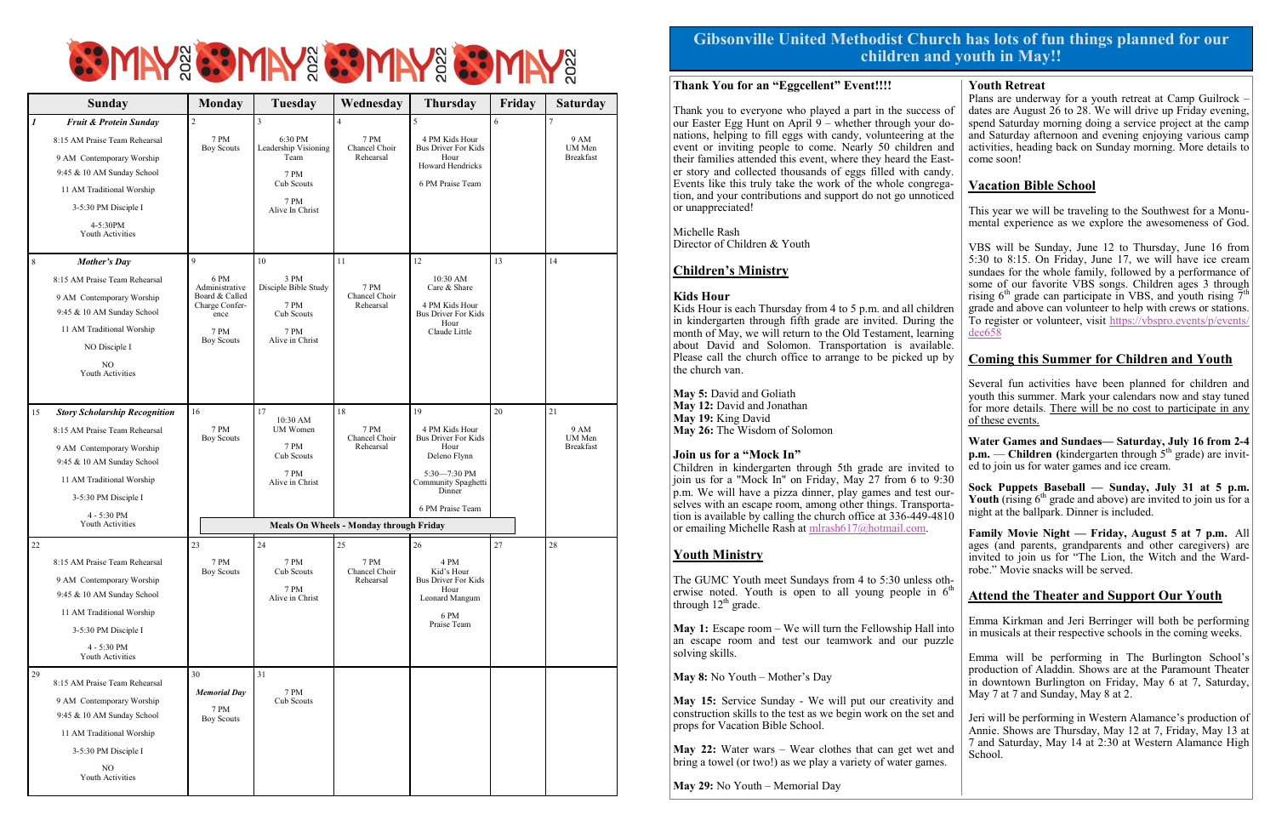# **SPINY & SPINY & SPINY & SPINY &**

|    | <b>Sunday</b>                                                                                                                                                                                        | <b>Monday</b>                                                                                                   | Tuesday                                                                                                | Wednesday                                            | <b>Thursday</b>                                                                                                                                 | Friday | <b>Saturday</b>                          |
|----|------------------------------------------------------------------------------------------------------------------------------------------------------------------------------------------------------|-----------------------------------------------------------------------------------------------------------------|--------------------------------------------------------------------------------------------------------|------------------------------------------------------|-------------------------------------------------------------------------------------------------------------------------------------------------|--------|------------------------------------------|
| 1  | Fruit & Protein Sunday                                                                                                                                                                               | $\sqrt{2}$                                                                                                      | 3                                                                                                      | $\overline{4}$                                       | 5                                                                                                                                               | 6      | $\overline{7}$                           |
|    | 8:15 AM Praise Team Rehearsal<br>9 AM Contemporary Worship<br>9:45 & 10 AM Sunday School<br>11 AM Traditional Worship<br>3-5:30 PM Disciple I<br>4-5:30PM<br>Youth Activities                        | 7 PM<br><b>Boy Scouts</b>                                                                                       | 6:30 PM<br>Leadership Visioning<br>Team<br><b>7 PM</b><br>Cub Scouts<br><b>7 PM</b><br>Alive In Christ | 7 PM<br>Chancel Choir<br>Rehearsal                   | 4 PM Kids Hour<br><b>Bus Driver For Kids</b><br>Hour<br><b>Howard Hendricks</b><br>6 PM Praise Team                                             |        | 9 AM<br>UM Men<br><b>Breakfast</b>       |
| 8  | <b>Mother's Day</b><br>8:15 AM Praise Team Rehearsal<br>9 AM Contemporary Worship<br>9:45 & 10 AM Sunday School<br>11 AM Traditional Worship<br>NO Disciple I<br>N <sub>O</sub><br>Youth Activities  | $\mathbf{Q}$<br>6 PM<br>Administrative<br>Board & Called<br>Charge Confer-<br>ence<br>7 PM<br><b>Boy Scouts</b> | 10<br>3 PM<br>Disciple Bible Study<br>7 PM<br>Cub Scouts<br><b>7 PM</b><br>Alive in Christ             | 11<br>7 PM<br>Chancel Choir<br>Rehearsal             | 12<br>10:30 AM<br>Care & Share<br>4 PM Kids Hour<br><b>Bus Driver For Kids</b><br>Hour<br>Claude Little                                         | 13     | 14                                       |
| 15 | <b>Story Scholarship Recognition</b><br>8:15 AM Praise Team Rehearsal<br>9 AM Contemporary Worship<br>9:45 & 10 AM Sunday School<br>11 AM Traditional Worship<br>3-5:30 PM Disciple I<br>4 - 5:30 PM | 16<br>7 PM<br><b>Boy Scouts</b>                                                                                 | 17<br>10:30 AM<br><b>UM</b> Women<br>7 PM<br>Cub Scouts<br>7 PM<br>Alive in Christ                     | 18<br>7 PM<br>Chancel Choir<br>Rehearsal             | 19<br>4 PM Kids Hour<br><b>Bus Driver For Kids</b><br>Hour<br>Deleno Flynn<br>5:30-7:30 PM<br>Community Spaghetti<br>Dinner<br>6 PM Praise Team | 20     | 21<br>9 AM<br>UM Men<br><b>Breakfast</b> |
|    | Youth Activities                                                                                                                                                                                     | <b>Meals On Wheels - Monday through Friday</b>                                                                  |                                                                                                        |                                                      |                                                                                                                                                 |        |                                          |
| 22 | 8:15 AM Praise Team Rehearsal<br>9 AM Contemporary Worship<br>9:45 & 10 AM Sunday School<br>11 AM Traditional Worship<br>3-5:30 PM Disciple I<br>4 - 5:30 PM<br>Youth Activities                     | 23<br>7 PM<br><b>Boy Scouts</b>                                                                                 | 24<br><b>7 PM</b><br>Cub Scouts<br>7 PM<br>Alive in Christ                                             | 25<br>$7\ \mathrm{PM}$<br>Chancel Choir<br>Rehearsal | 26<br>4 PM<br>Kid's Hour<br><b>Bus Driver For Kids</b><br>Hour<br>Leonard Mangum<br>6 PM<br>Praise Team                                         | 27     | 28                                       |
| 29 | 8:15 AM Praise Team Rehearsal<br>9 AM Contemporary Worship<br>9:45 & 10 AM Sunday School<br>11 AM Traditional Worship<br>3-5:30 PM Disciple I<br>NO.<br>Youth Activities                             | 30<br><b>Memorial Day</b><br>7 PM<br><b>Boy Scouts</b>                                                          | 31<br>7 PM<br>Cub Scouts                                                                               |                                                      |                                                                                                                                                 |        |                                          |

The GUMC Youth meet Sundays from 4 to 5:30 unless otherwise noted. Youth is open to all young people in  $6<sup>th</sup>$ through  $12<sup>th</sup>$  grade.

#### **Gibsonville United Methodist Church has lots of fun things planned for our children and youth in May!!**

#### **Thank You for an "Eggcellent" Event!!!!**

Thank you to everyone who played a part in the success of our Easter Egg Hunt on April 9 – whether through your donations, helping to fill eggs with candy, volunteering at the event or inviting people to come. Nearly 50 children and their families attended this event, where they heard the Easter story and collected thousands of eggs filled with candy. Events like this truly take the work of the whole congregation, and your contributions and support do not go unnoticed or unappreciated!

Michelle Rash Director of Children & Youth

#### **Children's Ministry**

#### **Kids Hour**

Kids Hour is each Thursday from 4 to 5 p.m. and all children in kindergarten through fifth grade are invited. During the month of May, we will return to the Old Testament, learning about David and Solomon. Transportation is available. Please call the church office to arrange to be picked up by the church van.

**May 5:** David and Goliath **May 12:** David and Jonathan **May 19:** King David **May 26:** The Wisdom of Solomon

#### **Join us for a "Mock In"**

Children in kindergarten through 5th grade are invited to join us for a "Mock In" on Friday, May 27 from 6 to 9:30 p.m. We will have a pizza dinner, play games and test ourselves with an escape room, among other things. Transportation is available by calling the church office at 336-449-4810 or emailing Michelle Rash at [mlrash617@hotmail.com.](mailto:mlrash617@hotmail.com?subject=GUMC%20mock-in) 

#### **Youth Ministry**

**May 1:** Escape room – We will turn the Fellowship Hall into an escape room and test our teamwork and our puzzle solving skills.

**May 8:** No Youth – Mother's Day

**May 15:** Service Sunday - We will put our creativity and construction skills to the test as we begin work on the set and props for Vacation Bible School.

**May 22:** Water wars – Wear clothes that can get wet and bring a towel (or two!) as we play a variety of water games.

**May 29:** No Youth – Memorial Day

#### **Youth Retreat**

Plans are underway for a youth retreat at Camp Guilrock – dates are August 26 to 28. We will drive up Friday evening, spend Saturday morning doing a service project at the camp and Saturday afternoon and evening enjoying various camp activities, heading back on Sunday morning. More details to come soon!

#### **Vacation Bible School**

This year we will be traveling to the Southwest for a Monumental experience as we explore the awesomeness of God.

VBS will be Sunday, June 12 to Thursday, June 16 from 5:30 to 8:15. On Friday, June 17, we will have ice cream sundaes for the whole family, followed by a performance of some of our favorite VBS songs. Children ages 3 through rising 6<sup>th</sup> grade can participate in VBS, and youth rising  $\overline{7}$ <sup>th</sup> grade and above can volunteer to help with crews or stations. To register or volunteer, visit [https://vbspro.events/p/events/](https://vbspro.events/p/events/dee658) [dee658](https://vbspro.events/p/events/dee658)

#### **Coming this Summer for Children and Youth**

Several fun activities have been planned for children and youth this summer. Mark your calendars now and stay tuned for more details. There will be no cost to participate in any of these events.

**Water Games and Sundaes— Saturday, July 16 from 2-4 p.m.** — **Children** (kindergarten through 5<sup>th</sup> grade) are invited to join us for water games and ice cream.

**Sock Puppets Baseball — Sunday, July 31 at 5 p.m. Youth** (rising  $6<sup>th</sup>$  grade and above) are invited to join us for a night at the ballpark. Dinner is included.

**Family Movie Night — Friday, August 5 at 7 p.m.** All ages (and parents, grandparents and other caregivers) are invited to join us for "The Lion, the Witch and the Wardrobe." Movie snacks will be served.

#### **Attend the Theater and Support Our Youth**

Emma Kirkman and Jeri Berringer will both be performing in musicals at their respective schools in the coming weeks.

Emma will be performing in The Burlington School's production of Aladdin. Shows are at the Paramount Theater in downtown Burlington on Friday, May 6 at 7, Saturday, May 7 at 7 and Sunday, May 8 at 2.

Jeri will be performing in Western Alamance's production of Annie. Shows are Thursday, May 12 at 7, Friday, May 13 at 7 and Saturday, May 14 at 2:30 at Western Alamance High School.